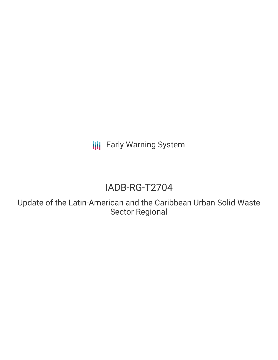**III** Early Warning System

# IADB-RG-T2704

Update of the Latin-American and the Caribbean Urban Solid Waste Sector Regional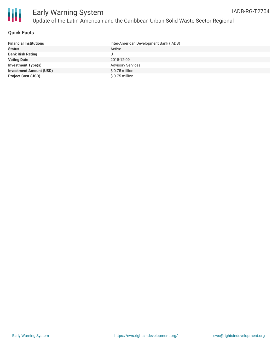

#### **Quick Facts**

| <b>Financial Institutions</b>  | Inter-American Development Bank (IADB) |
|--------------------------------|----------------------------------------|
| <b>Status</b>                  | Active                                 |
| <b>Bank Risk Rating</b>        |                                        |
| <b>Voting Date</b>             | 2015-12-09                             |
| <b>Investment Type(s)</b>      | <b>Advisory Services</b>               |
| <b>Investment Amount (USD)</b> | \$0.75 million                         |
| <b>Project Cost (USD)</b>      | \$ 0.75 million                        |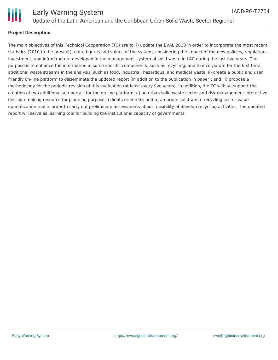

The main objectives of this Technical Cooperation (TC) are to: i) update the EVAL 2010 in order to incorporate the most recent statistics (2010 to the present), data, figures and values of the system, considering the impact of the new policies, regulations, investment, and infrastructure developed in the management system of solid waste in LAC during the last five years. The purpose is to enhance the information in some specific components, such as recycling; and to incorporate for the first time, additional waste streams in the analysis, such as food, industrial, hazardous, and medical waste; ii) create a public and user friendly on-line platform to disseminate the updated report (in addition to the publication in paper); and iii) propose a methodology for the periodic revision of this evaluation (at least every five years). In addition, the TC will: iv) support the creation of two additional sub-portals for the on-line platform: a) an urban solid waste sector and risk management interactive decision-making resource for planning purposes (clients oriented); and b) an urban solid waste recycling sector value quantification tool in order to carry out preliminary assessments about feasibility of develop recycling activities. The updated report will serve as learning tool for building the institutional capacity of governments.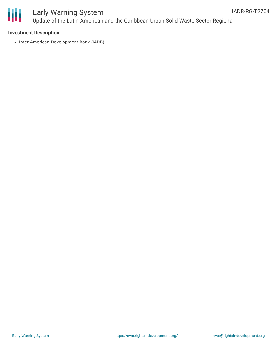

## Early Warning System Update of the Latin-American and the Caribbean Urban Solid Waste Sector Regional

#### **Investment Description**

• Inter-American Development Bank (IADB)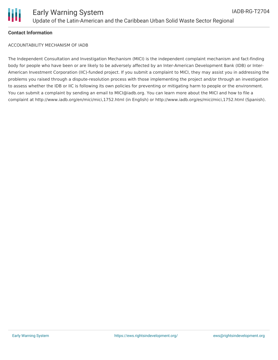

#### **Contact Information**

ACCOUNTABILITY MECHANISM OF IADB

The Independent Consultation and Investigation Mechanism (MICI) is the independent complaint mechanism and fact-finding body for people who have been or are likely to be adversely affected by an Inter-American Development Bank (IDB) or Inter-American Investment Corporation (IIC)-funded project. If you submit a complaint to MICI, they may assist you in addressing the problems you raised through a dispute-resolution process with those implementing the project and/or through an investigation to assess whether the IDB or IIC is following its own policies for preventing or mitigating harm to people or the environment. You can submit a complaint by sending an email to MICI@iadb.org. You can learn more about the MICI and how to file a complaint at http://www.iadb.org/en/mici/mici,1752.html (in English) or http://www.iadb.org/es/mici/mici,1752.html (Spanish).